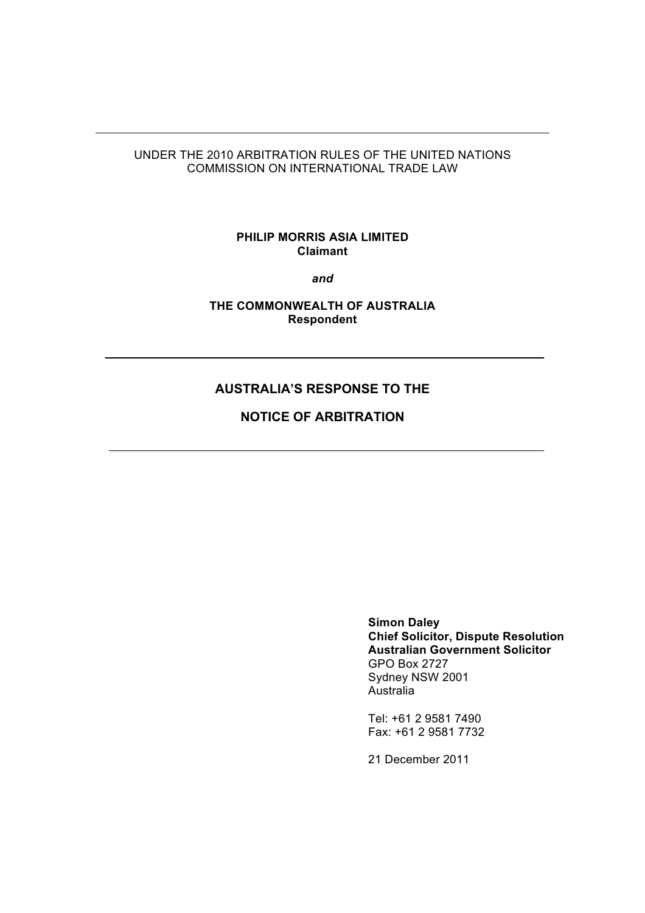## UNDER THE 2010 ARBITRATION RULES OF THE UNITED NATIONS COMMISSION ON INTERNATIONAL TRADE LAW

## **PHILIP MORRIS ASIA LIMITED Claimant**

*and*

**THE COMMONWEALTH OF AUSTRALIA Respondent**

# **AUSTRALIA'S RESPONSE TO THE**

**NOTICE OF ARBITRATION**

**Simon Daley Chief Solicitor, Dispute Resolution Australian Government Solicitor** GPO Box 2727 Sydney NSW 2001 Australia

Tel: +61 2 9581 7490 Fax: +61 2 9581 7732

21 December 2011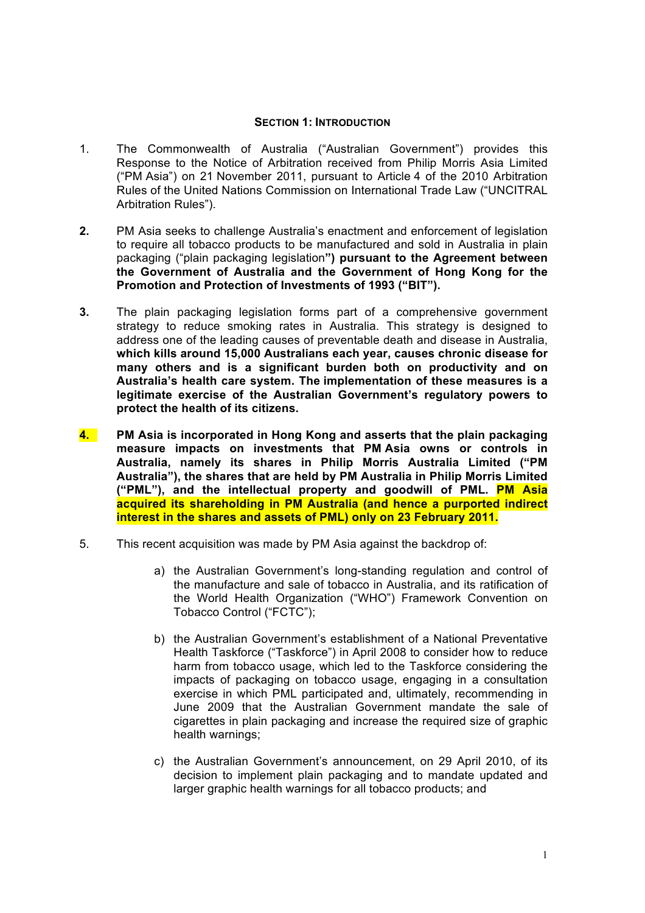### **SECTION 1: INTRODUCTION**

- 1. The Commonwealth of Australia ("Australian Government") provides this Response to the Notice of Arbitration received from Philip Morris Asia Limited ("PM Asia") on 21 November 2011, pursuant to Article 4 of the 2010 Arbitration Rules of the United Nations Commission on International Trade Law ("UNCITRAL Arbitration Rules").
- **2.** PM Asia seeks to challenge Australia's enactment and enforcement of legislation to require all tobacco products to be manufactured and sold in Australia in plain packaging ("plain packaging legislation**") pursuant to the Agreement between the Government of Australia and the Government of Hong Kong for the Promotion and Protection of Investments of 1993 ("BIT").**
- **3.** The plain packaging legislation forms part of a comprehensive government strategy to reduce smoking rates in Australia. This strategy is designed to address one of the leading causes of preventable death and disease in Australia, **which kills around 15,000 Australians each year, causes chronic disease for many others and is a significant burden both on productivity and on Australia's health care system. The implementation of these measures is a legitimate exercise of the Australian Government's regulatory powers to protect the health of its citizens.**
- **4. PM Asia is incorporated in Hong Kong and asserts that the plain packaging measure impacts on investments that PM Asia owns or controls in Australia, namely its shares in Philip Morris Australia Limited ("PM Australia"), the shares that are held by PM Australia in Philip Morris Limited ("PML"), and the intellectual property and goodwill of PML. PM Asia acquired its shareholding in PM Australia (and hence a purported indirect interest in the shares and assets of PML) only on 23 February 2011.**
- 5. This recent acquisition was made by PM Asia against the backdrop of:
	- a) the Australian Government's long-standing regulation and control of the manufacture and sale of tobacco in Australia, and its ratification of the World Health Organization ("WHO") Framework Convention on Tobacco Control ("FCTC");
	- b) the Australian Government's establishment of a National Preventative Health Taskforce ("Taskforce") in April 2008 to consider how to reduce harm from tobacco usage, which led to the Taskforce considering the impacts of packaging on tobacco usage, engaging in a consultation exercise in which PML participated and, ultimately, recommending in June 2009 that the Australian Government mandate the sale of cigarettes in plain packaging and increase the required size of graphic health warnings;
	- c) the Australian Government's announcement, on 29 April 2010, of its decision to implement plain packaging and to mandate updated and larger graphic health warnings for all tobacco products; and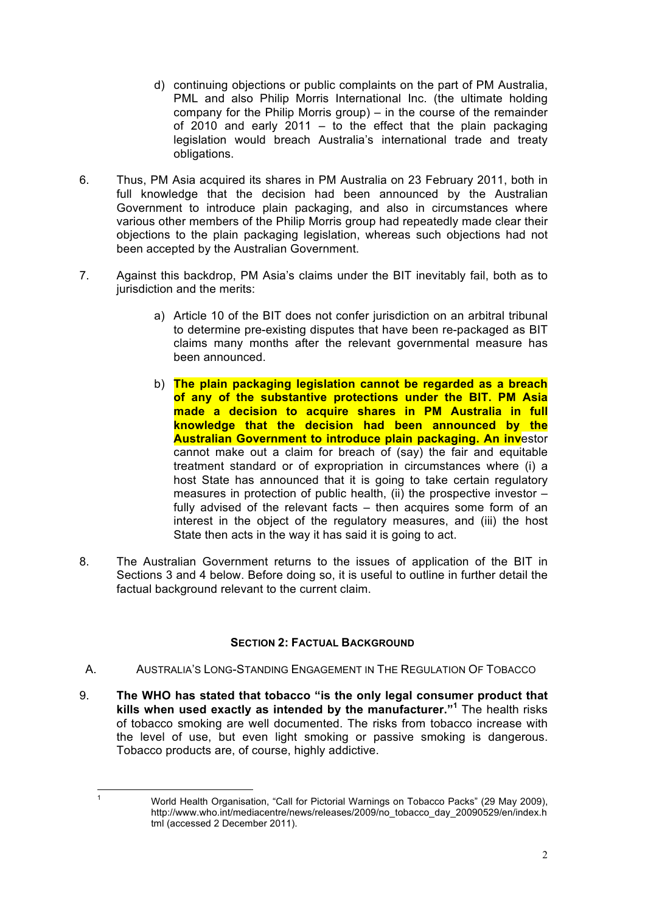- d) continuing objections or public complaints on the part of PM Australia, PML and also Philip Morris International Inc. (the ultimate holding company for the Philip Morris group) – in the course of the remainder of 2010 and early 2011 – to the effect that the plain packaging legislation would breach Australia's international trade and treaty obligations.
- 6. Thus, PM Asia acquired its shares in PM Australia on 23 February 2011, both in full knowledge that the decision had been announced by the Australian Government to introduce plain packaging, and also in circumstances where various other members of the Philip Morris group had repeatedly made clear their objections to the plain packaging legislation, whereas such objections had not been accepted by the Australian Government.
- 7. Against this backdrop, PM Asia's claims under the BIT inevitably fail, both as to jurisdiction and the merits:
	- a) Article 10 of the BIT does not confer jurisdiction on an arbitral tribunal to determine pre-existing disputes that have been re-packaged as BIT claims many months after the relevant governmental measure has been announced.
	- b) **The plain packaging legislation cannot be regarded as a breach of any of the substantive protections under the BIT. PM Asia made a decision to acquire shares in PM Australia in full knowledge that the decision had been announced by the Australian Government to introduce plain packaging. An inv**estor cannot make out a claim for breach of (say) the fair and equitable treatment standard or of expropriation in circumstances where (i) a host State has announced that it is going to take certain regulatory measures in protection of public health, (ii) the prospective investor – fully advised of the relevant facts – then acquires some form of an interest in the object of the regulatory measures, and (iii) the host State then acts in the way it has said it is going to act.
- 8. The Australian Government returns to the issues of application of the BIT in Sections 3 and 4 below. Before doing so, it is useful to outline in further detail the factual background relevant to the current claim.

## **SECTION 2: FACTUAL BACKGROUND**

- A. AUSTRALIA'S LONG-STANDING ENGAGEMENT IN THE REGULATION OF TOBACCO
- 9. **The WHO has stated that tobacco "is the only legal consumer product that kills when used exactly as intended by the manufacturer."<sup>1</sup>** The health risks of tobacco smoking are well documented. The risks from tobacco increase with the level of use, but even light smoking or passive smoking is dangerous. Tobacco products are, of course, highly addictive.

<sup>&</sup>lt;sup>1</sup> World Health Organisation, "Call for Pictorial Warnings on Tobacco Packs" (29 May 2009), http://www.who.int/mediacentre/news/releases/2009/no\_tobacco\_day\_20090529/en/index.h tml (accessed 2 December 2011).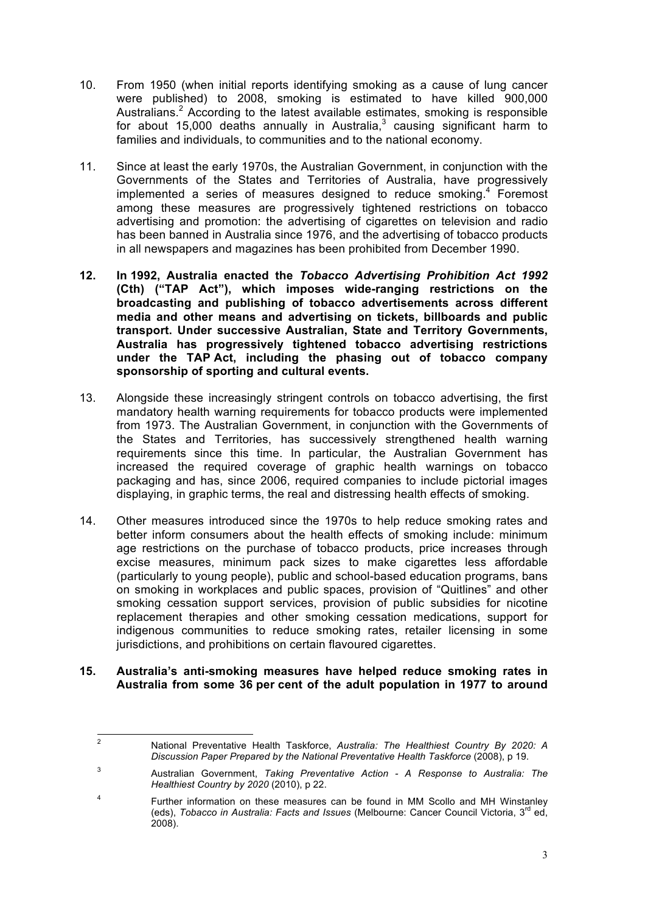- 10. From 1950 (when initial reports identifying smoking as a cause of lung cancer were published) to 2008, smoking is estimated to have killed 900,000 Australians.<sup>2</sup> According to the latest available estimates, smoking is responsible for about 15,000 deaths annually in Australia, $3$  causing significant harm to families and individuals, to communities and to the national economy.
- 11. Since at least the early 1970s, the Australian Government, in conjunction with the Governments of the States and Territories of Australia, have progressively implemented a series of measures designed to reduce smoking.<sup>4</sup> Foremost among these measures are progressively tightened restrictions on tobacco advertising and promotion: the advertising of cigarettes on television and radio has been banned in Australia since 1976, and the advertising of tobacco products in all newspapers and magazines has been prohibited from December 1990.
- **12. In 1992, Australia enacted the** *Tobacco Advertising Prohibition Act 1992*  **(Cth) ("TAP Act"), which imposes wide-ranging restrictions on the broadcasting and publishing of tobacco advertisements across different media and other means and advertising on tickets, billboards and public transport. Under successive Australian, State and Territory Governments, Australia has progressively tightened tobacco advertising restrictions under the TAP Act, including the phasing out of tobacco company sponsorship of sporting and cultural events.**
- 13. Alongside these increasingly stringent controls on tobacco advertising, the first mandatory health warning requirements for tobacco products were implemented from 1973. The Australian Government, in conjunction with the Governments of the States and Territories, has successively strengthened health warning requirements since this time. In particular, the Australian Government has increased the required coverage of graphic health warnings on tobacco packaging and has, since 2006, required companies to include pictorial images displaying, in graphic terms, the real and distressing health effects of smoking.
- 14. Other measures introduced since the 1970s to help reduce smoking rates and better inform consumers about the health effects of smoking include: minimum age restrictions on the purchase of tobacco products, price increases through excise measures, minimum pack sizes to make cigarettes less affordable (particularly to young people), public and school-based education programs, bans on smoking in workplaces and public spaces, provision of "Quitlines" and other smoking cessation support services, provision of public subsidies for nicotine replacement therapies and other smoking cessation medications, support for indigenous communities to reduce smoking rates, retailer licensing in some jurisdictions, and prohibitions on certain flavoured cigarettes.
- **15. Australia's anti-smoking measures have helped reduce smoking rates in Australia from some 36 per cent of the adult population in 1977 to around**

<sup>&</sup>lt;sup>2</sup> National Preventative Health Taskforce, *Australia: The Healthiest Country By 2020: A Discussion Paper Prepared by the National Preventative Health Taskforce* (2008), p 19.

<sup>3</sup> Australian Government, *Taking Preventative Action - A Response to Australia: The Healthiest Country by 2020* (2010), p 22.

<sup>4</sup> Further information on these measures can be found in MM Scollo and MH Winstanley (eds), *Tobacco in Australia: Facts and Issues* (Melbourne: Cancer Council Victoria, 3rd ed,  $2008$ ).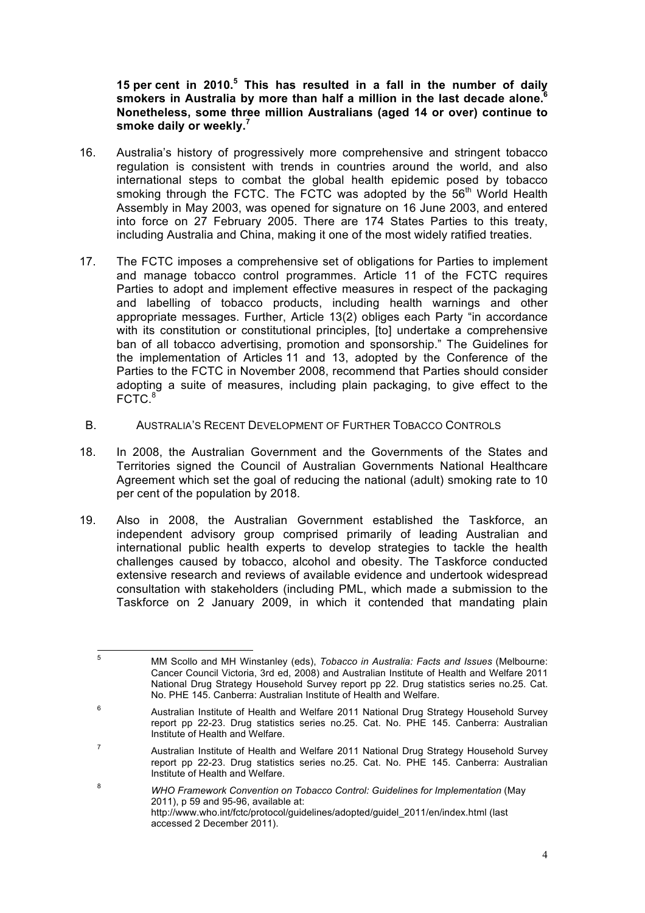**15 per cent in 2010.5 This has resulted in a fall in the number of daily smokers in Australia by more than half a million in the last decade alone.6 Nonetheless, some three million Australians (aged 14 or over) continue to smoke daily or weekly.7**

- 16. Australia's history of progressively more comprehensive and stringent tobacco regulation is consistent with trends in countries around the world, and also international steps to combat the global health epidemic posed by tobacco smoking through the FCTC. The FCTC was adopted by the 56<sup>th</sup> World Health Assembly in May 2003, was opened for signature on 16 June 2003, and entered into force on 27 February 2005. There are 174 States Parties to this treaty, including Australia and China, making it one of the most widely ratified treaties.
- 17. The FCTC imposes a comprehensive set of obligations for Parties to implement and manage tobacco control programmes. Article 11 of the FCTC requires Parties to adopt and implement effective measures in respect of the packaging and labelling of tobacco products, including health warnings and other appropriate messages. Further, Article 13(2) obliges each Party "in accordance with its constitution or constitutional principles, [to] undertake a comprehensive ban of all tobacco advertising, promotion and sponsorship." The Guidelines for the implementation of Articles 11 and 13, adopted by the Conference of the Parties to the FCTC in November 2008, recommend that Parties should consider adopting a suite of measures, including plain packaging, to give effect to the  $FCTC<sup>8</sup>$
- B. AUSTRALIA'S RECENT DEVELOPMENT OF FURTHER TOBACCO CONTROLS
- 18. In 2008, the Australian Government and the Governments of the States and Territories signed the Council of Australian Governments National Healthcare Agreement which set the goal of reducing the national (adult) smoking rate to 10 per cent of the population by 2018.
- 19. Also in 2008, the Australian Government established the Taskforce, an independent advisory group comprised primarily of leading Australian and international public health experts to develop strategies to tackle the health challenges caused by tobacco, alcohol and obesity. The Taskforce conducted extensive research and reviews of available evidence and undertook widespread consultation with stakeholders (including PML, which made a submission to the Taskforce on 2 January 2009, in which it contended that mandating plain

<sup>!!!!!!!!!!!!!!!!!!!!!!!!!!!!!!!!!!!!!!!!!!!!!!!!!!!!!!!!!!!!</sup> <sup>5</sup> MM Scollo and MH Winstanley (eds), *Tobacco in Australia: Facts and Issues* (Melbourne: Cancer Council Victoria, 3rd ed, 2008) and Australian Institute of Health and Welfare 2011 National Drug Strategy Household Survey report pp 22. Drug statistics series no.25. Cat. No. PHE 145. Canberra: Australian Institute of Health and Welfare.

<sup>6</sup> Australian Institute of Health and Welfare 2011 National Drug Strategy Household Survey report pp 22-23. Drug statistics series no.25. Cat. No. PHE 145. Canberra: Australian Institute of Health and Welfare.

<sup>7</sup> Australian Institute of Health and Welfare 2011 National Drug Strategy Household Survey report pp 22-23. Drug statistics series no.25. Cat. No. PHE 145. Canberra: Australian Institute of Health and Welfare.

<sup>8</sup> *WHO Framework Convention on Tobacco Control: Guidelines for Implementation* (May 2011), p 59 and 95-96, available at: http://www.who.int/fctc/protocol/guidelines/adopted/guidel\_2011/en/index.html (last accessed 2 December 2011).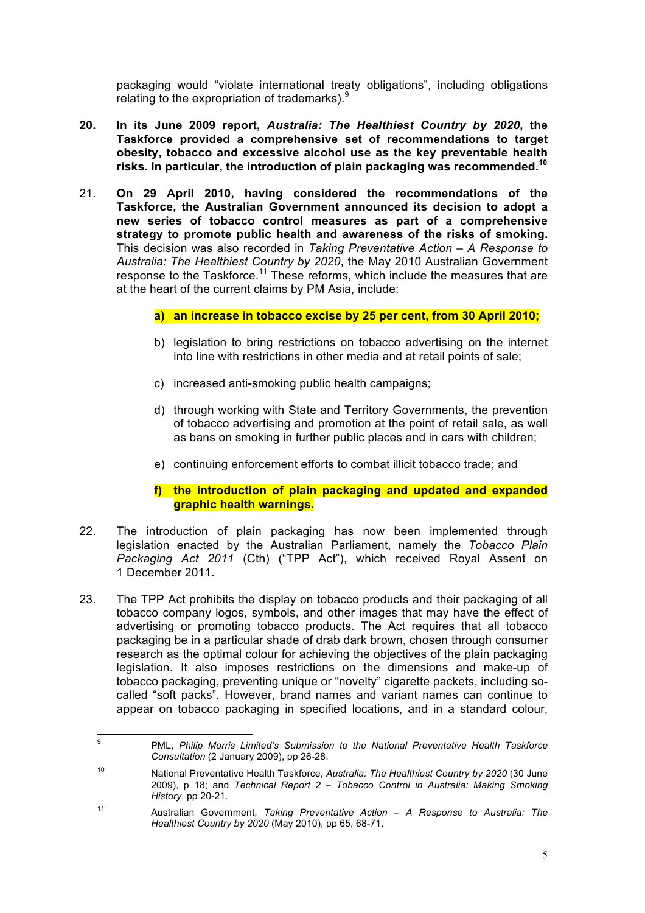packaging would "violate international treaty obligations", including obligations relating to the expropriation of trademarks). $9$ 

- **20. In its June 2009 report,** *Australia: The Healthiest Country by 2020***, the Taskforce provided a comprehensive set of recommendations to target obesity, tobacco and excessive alcohol use as the key preventable health risks. In particular, the introduction of plain packaging was recommended.<sup>10</sup>**
- 21. **On 29 April 2010, having considered the recommendations of the Taskforce, the Australian Government announced its decision to adopt a new series of tobacco control measures as part of a comprehensive strategy to promote public health and awareness of the risks of smoking.** This decision was also recorded in *Taking Preventative Action – A Response to Australia: The Healthiest Country by 2020*, the May 2010 Australian Government response to the Taskforce.<sup>11</sup> These reforms, which include the measures that are at the heart of the current claims by PM Asia, include:

## **a) an increase in tobacco excise by 25 per cent, from 30 April 2010;**

- b) legislation to bring restrictions on tobacco advertising on the internet into line with restrictions in other media and at retail points of sale;
- c) increased anti-smoking public health campaigns;
- d) through working with State and Territory Governments, the prevention of tobacco advertising and promotion at the point of retail sale, as well as bans on smoking in further public places and in cars with children;
- e) continuing enforcement efforts to combat illicit tobacco trade; and

### **f) the introduction of plain packaging and updated and expanded graphic health warnings.**

- 22. The introduction of plain packaging has now been implemented through legislation enacted by the Australian Parliament, namely the *Tobacco Plain Packaging Act 2011* (Cth) ("TPP Act"), which received Royal Assent on 1 December 2011.
- 23. The TPP Act prohibits the display on tobacco products and their packaging of all tobacco company logos, symbols, and other images that may have the effect of advertising or promoting tobacco products. The Act requires that all tobacco packaging be in a particular shade of drab dark brown, chosen through consumer research as the optimal colour for achieving the objectives of the plain packaging legislation. It also imposes restrictions on the dimensions and make-up of tobacco packaging, preventing unique or "novelty" cigarette packets, including socalled "soft packs". However, brand names and variant names can continue to appear on tobacco packaging in specified locations, and in a standard colour,

<sup>&</sup>lt;sup>9</sup> PML, *Philip Morris Limited's Submission to the National Preventative Health Taskforce Consultation* (2 January 2009), pp 26-28.

<sup>10</sup> National Preventative Health Taskforce, *Australia: The Healthiest Country by 2020* (30 June 2009), p 18; and *Technical Report 2 – Tobacco Control in Australia: Making Smoking History*, pp 20-21.

<sup>11</sup> Australian Government, *Taking Preventative Action – A Response to Australia: The Healthiest Country by 2020* (May 2010), pp 65, 68-71.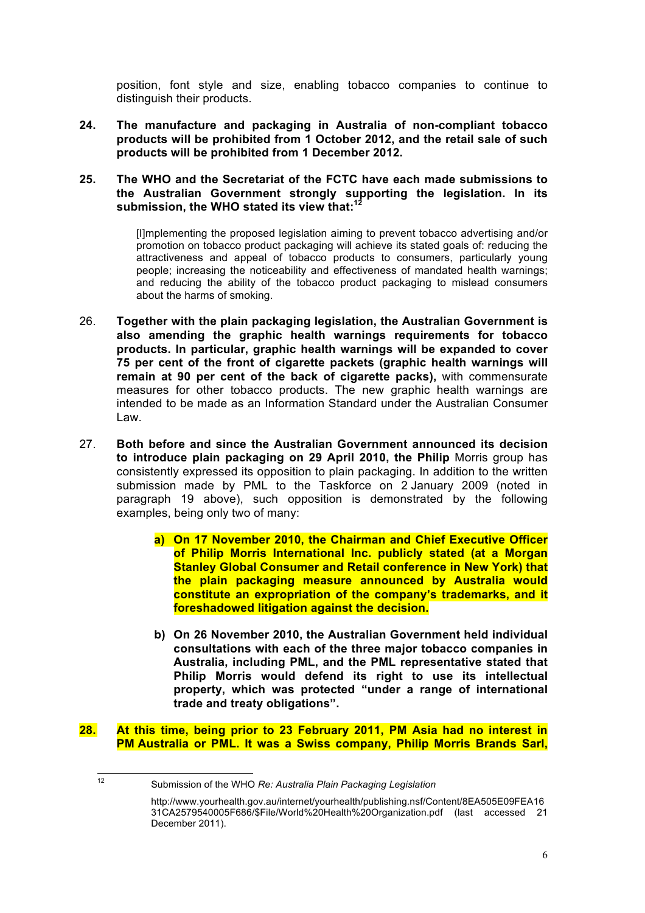position, font style and size, enabling tobacco companies to continue to distinguish their products.

**24. The manufacture and packaging in Australia of non-compliant tobacco products will be prohibited from 1 October 2012, and the retail sale of such products will be prohibited from 1 December 2012.**

### **25. The WHO and the Secretariat of the FCTC have each made submissions to the Australian Government strongly supporting the legislation. In its submission, the WHO stated its view that:<sup>12</sup>**

[I]mplementing the proposed legislation aiming to prevent tobacco advertising and/or promotion on tobacco product packaging will achieve its stated goals of: reducing the attractiveness and appeal of tobacco products to consumers, particularly young people; increasing the noticeability and effectiveness of mandated health warnings; and reducing the ability of the tobacco product packaging to mislead consumers about the harms of smoking.

- 26. **Together with the plain packaging legislation, the Australian Government is also amending the graphic health warnings requirements for tobacco products. In particular, graphic health warnings will be expanded to cover 75 per cent of the front of cigarette packets (graphic health warnings will remain at 90 per cent of the back of cigarette packs),** with commensurate measures for other tobacco products. The new graphic health warnings are intended to be made as an Information Standard under the Australian Consumer Law.
- 27. **Both before and since the Australian Government announced its decision to introduce plain packaging on 29 April 2010, the Philip** Morris group has consistently expressed its opposition to plain packaging. In addition to the written submission made by PML to the Taskforce on 2 January 2009 (noted in paragraph 19 above), such opposition is demonstrated by the following examples, being only two of many:
	- **a) On 17 November 2010, the Chairman and Chief Executive Officer of Philip Morris International Inc. publicly stated (at a Morgan Stanley Global Consumer and Retail conference in New York) that the plain packaging measure announced by Australia would constitute an expropriation of the company's trademarks, and it foreshadowed litigation against the decision.**
	- **b) On 26 November 2010, the Australian Government held individual consultations with each of the three major tobacco companies in Australia, including PML, and the PML representative stated that Philip Morris would defend its right to use its intellectual property, which was protected "under a range of international trade and treaty obligations".**
- **28. At this time, being prior to 23 February 2011, PM Asia had no interest in PM Australia or PML. It was a Swiss company, Philip Morris Brands Sarl,**

<sup>!!!!!!!!!!!!!!!!!!!!!!!!!!!!!!!!!!!!!!!!!!!!!!!!!!!!!!!!!!!!</sup> <sup>12</sup> Submission of the WHO *Re: Australia Plain Packaging Legislation*

http://www.yourhealth.gov.au/internet/yourhealth/publishing.nsf/Content/8EA505E09FEA16 31CA2579540005F686/\$File/World%20Health%20Organization.pdf (last accessed 21 December 2011).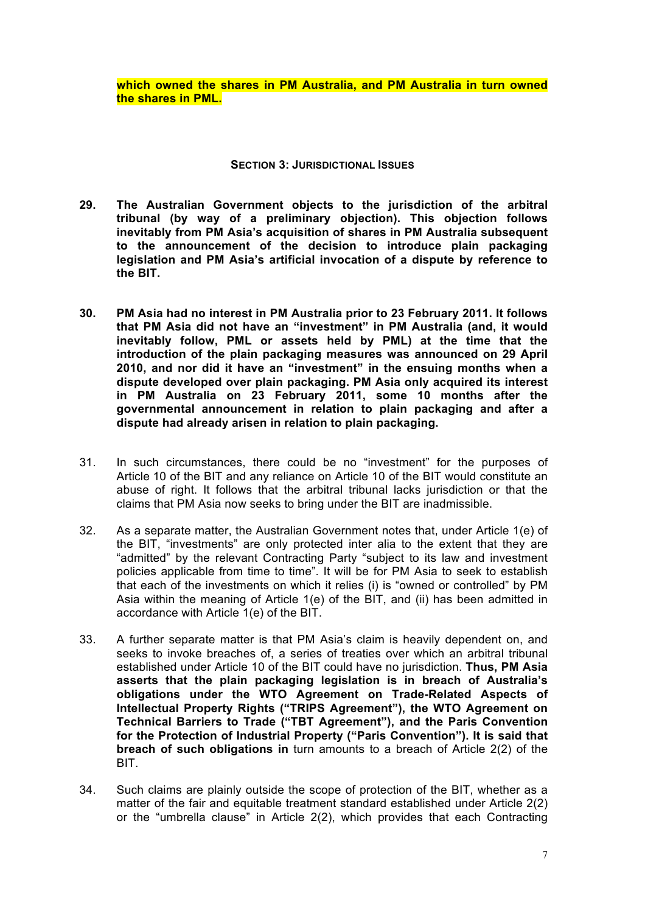**which owned the shares in PM Australia, and PM Australia in turn owned the shares in PML.** 

### **SECTION 3: JURISDICTIONAL ISSUES**

- **29. The Australian Government objects to the jurisdiction of the arbitral tribunal (by way of a preliminary objection). This objection follows inevitably from PM Asia's acquisition of shares in PM Australia subsequent to the announcement of the decision to introduce plain packaging legislation and PM Asia's artificial invocation of a dispute by reference to the BIT.**
- **30. PM Asia had no interest in PM Australia prior to 23 February 2011. It follows that PM Asia did not have an "investment" in PM Australia (and, it would inevitably follow, PML or assets held by PML) at the time that the introduction of the plain packaging measures was announced on 29 April 2010, and nor did it have an "investment" in the ensuing months when a dispute developed over plain packaging. PM Asia only acquired its interest in PM Australia on 23 February 2011, some 10 months after the governmental announcement in relation to plain packaging and after a dispute had already arisen in relation to plain packaging.**
- 31. In such circumstances, there could be no "investment" for the purposes of Article 10 of the BIT and any reliance on Article 10 of the BIT would constitute an abuse of right. It follows that the arbitral tribunal lacks jurisdiction or that the claims that PM Asia now seeks to bring under the BIT are inadmissible.
- 32. As a separate matter, the Australian Government notes that, under Article 1(e) of the BIT, "investments" are only protected inter alia to the extent that they are "admitted" by the relevant Contracting Party "subject to its law and investment policies applicable from time to time". It will be for PM Asia to seek to establish that each of the investments on which it relies (i) is "owned or controlled" by PM Asia within the meaning of Article 1(e) of the BIT, and (ii) has been admitted in accordance with Article 1(e) of the BIT.
- 33. A further separate matter is that PM Asia's claim is heavily dependent on, and seeks to invoke breaches of, a series of treaties over which an arbitral tribunal established under Article 10 of the BIT could have no jurisdiction. **Thus, PM Asia asserts that the plain packaging legislation is in breach of Australia's obligations under the WTO Agreement on Trade-Related Aspects of Intellectual Property Rights ("TRIPS Agreement"), the WTO Agreement on Technical Barriers to Trade ("TBT Agreement"), and the Paris Convention for the Protection of Industrial Property ("Paris Convention"). It is said that breach of such obligations in** turn amounts to a breach of Article 2(2) of the BIT.
- 34. Such claims are plainly outside the scope of protection of the BIT, whether as a matter of the fair and equitable treatment standard established under Article 2(2) or the "umbrella clause" in Article 2(2), which provides that each Contracting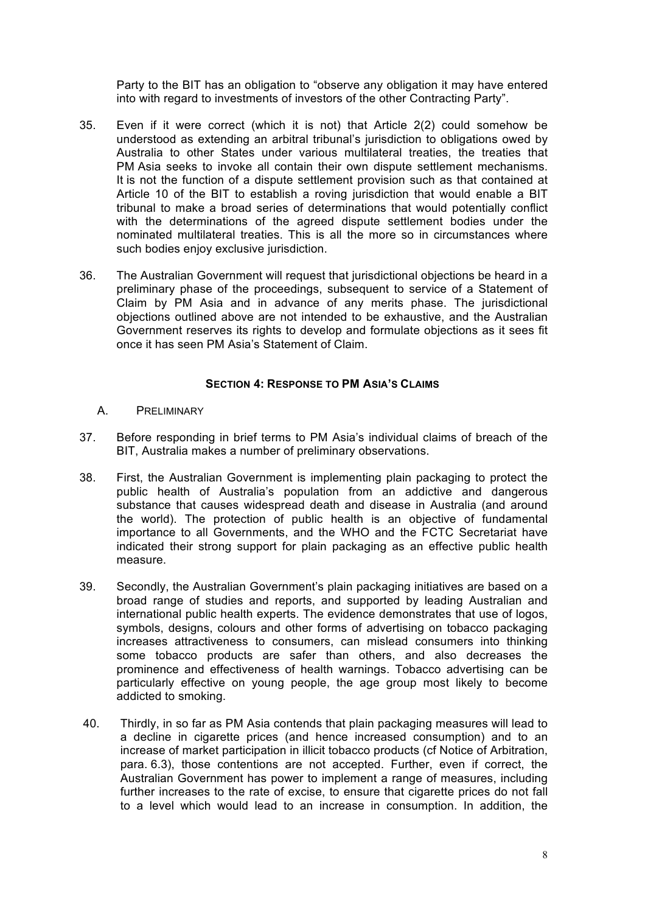Party to the BIT has an obligation to "observe any obligation it may have entered into with regard to investments of investors of the other Contracting Party".

- 35. Even if it were correct (which it is not) that Article 2(2) could somehow be understood as extending an arbitral tribunal's jurisdiction to obligations owed by Australia to other States under various multilateral treaties, the treaties that PM Asia seeks to invoke all contain their own dispute settlement mechanisms. It is not the function of a dispute settlement provision such as that contained at Article 10 of the BIT to establish a roving jurisdiction that would enable a BIT tribunal to make a broad series of determinations that would potentially conflict with the determinations of the agreed dispute settlement bodies under the nominated multilateral treaties. This is all the more so in circumstances where such bodies enjoy exclusive jurisdiction.
- 36. The Australian Government will request that jurisdictional objections be heard in a preliminary phase of the proceedings, subsequent to service of a Statement of Claim by PM Asia and in advance of any merits phase. The jurisdictional objections outlined above are not intended to be exhaustive, and the Australian Government reserves its rights to develop and formulate objections as it sees fit once it has seen PM Asia's Statement of Claim.

### **SECTION 4: RESPONSE TO PM ASIA'S CLAIMS**

- A. PRELIMINARY
- 37. Before responding in brief terms to PM Asia's individual claims of breach of the BIT, Australia makes a number of preliminary observations.
- 38. First, the Australian Government is implementing plain packaging to protect the public health of Australia's population from an addictive and dangerous substance that causes widespread death and disease in Australia (and around the world). The protection of public health is an objective of fundamental importance to all Governments, and the WHO and the FCTC Secretariat have indicated their strong support for plain packaging as an effective public health measure.
- 39. Secondly, the Australian Government's plain packaging initiatives are based on a broad range of studies and reports, and supported by leading Australian and international public health experts. The evidence demonstrates that use of logos, symbols, designs, colours and other forms of advertising on tobacco packaging increases attractiveness to consumers, can mislead consumers into thinking some tobacco products are safer than others, and also decreases the prominence and effectiveness of health warnings. Tobacco advertising can be particularly effective on young people, the age group most likely to become addicted to smoking.
- 40. Thirdly, in so far as PM Asia contends that plain packaging measures will lead to a decline in cigarette prices (and hence increased consumption) and to an increase of market participation in illicit tobacco products (cf Notice of Arbitration, para. 6.3), those contentions are not accepted. Further, even if correct, the Australian Government has power to implement a range of measures, including further increases to the rate of excise, to ensure that cigarette prices do not fall to a level which would lead to an increase in consumption. In addition, the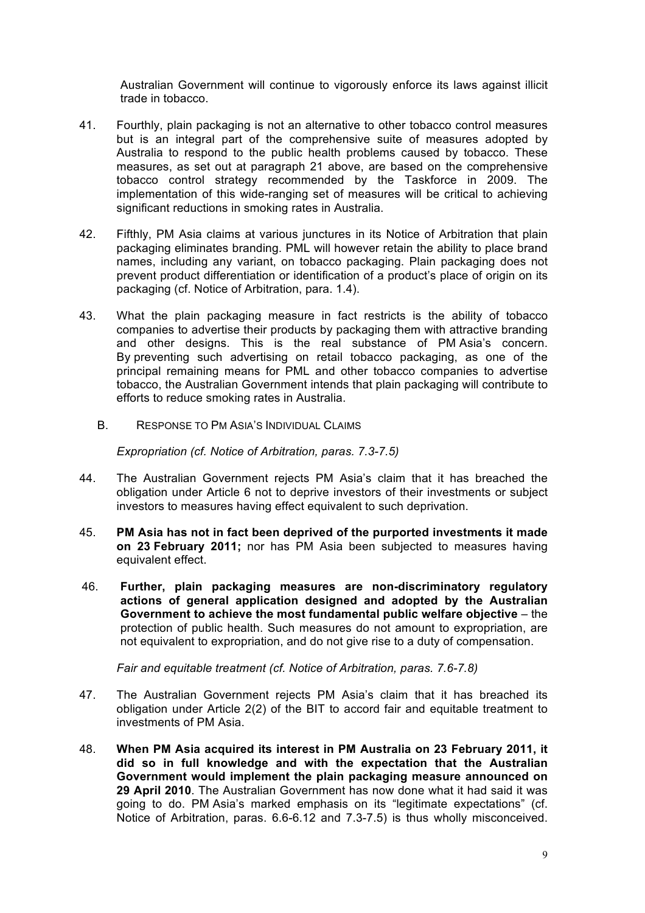Australian Government will continue to vigorously enforce its laws against illicit trade in tobacco.

- 41. Fourthly, plain packaging is not an alternative to other tobacco control measures but is an integral part of the comprehensive suite of measures adopted by Australia to respond to the public health problems caused by tobacco. These measures, as set out at paragraph 21 above, are based on the comprehensive tobacco control strategy recommended by the Taskforce in 2009. The implementation of this wide-ranging set of measures will be critical to achieving significant reductions in smoking rates in Australia.
- 42. Fifthly, PM Asia claims at various junctures in its Notice of Arbitration that plain packaging eliminates branding. PML will however retain the ability to place brand names, including any variant, on tobacco packaging. Plain packaging does not prevent product differentiation or identification of a product's place of origin on its packaging (cf. Notice of Arbitration, para. 1.4).
- 43. What the plain packaging measure in fact restricts is the ability of tobacco companies to advertise their products by packaging them with attractive branding and other designs. This is the real substance of PM Asia's concern. By preventing such advertising on retail tobacco packaging, as one of the principal remaining means for PML and other tobacco companies to advertise tobacco, the Australian Government intends that plain packaging will contribute to efforts to reduce smoking rates in Australia.
	- B. RESPONSE TO PM ASIA'S INDIVIDUAL CLAIMS

*Expropriation (cf. Notice of Arbitration, paras. 7.3-7.5)*

- 44. The Australian Government rejects PM Asia's claim that it has breached the obligation under Article 6 not to deprive investors of their investments or subject investors to measures having effect equivalent to such deprivation.
- 45. **PM Asia has not in fact been deprived of the purported investments it made on 23 February 2011;** nor has PM Asia been subjected to measures having equivalent effect.
- 46. **Further, plain packaging measures are non-discriminatory regulatory actions of general application designed and adopted by the Australian Government to achieve the most fundamental public welfare objective** – the protection of public health. Such measures do not amount to expropriation, are not equivalent to expropriation, and do not give rise to a duty of compensation.

*Fair and equitable treatment (cf. Notice of Arbitration, paras. 7.6-7.8)*

- 47. The Australian Government rejects PM Asia's claim that it has breached its obligation under Article 2(2) of the BIT to accord fair and equitable treatment to investments of PM Asia.
- 48. **When PM Asia acquired its interest in PM Australia on 23 February 2011, it did so in full knowledge and with the expectation that the Australian Government would implement the plain packaging measure announced on 29 April 2010**. The Australian Government has now done what it had said it was going to do. PM Asia's marked emphasis on its "legitimate expectations" (cf. Notice of Arbitration, paras. 6.6-6.12 and 7.3-7.5) is thus wholly misconceived.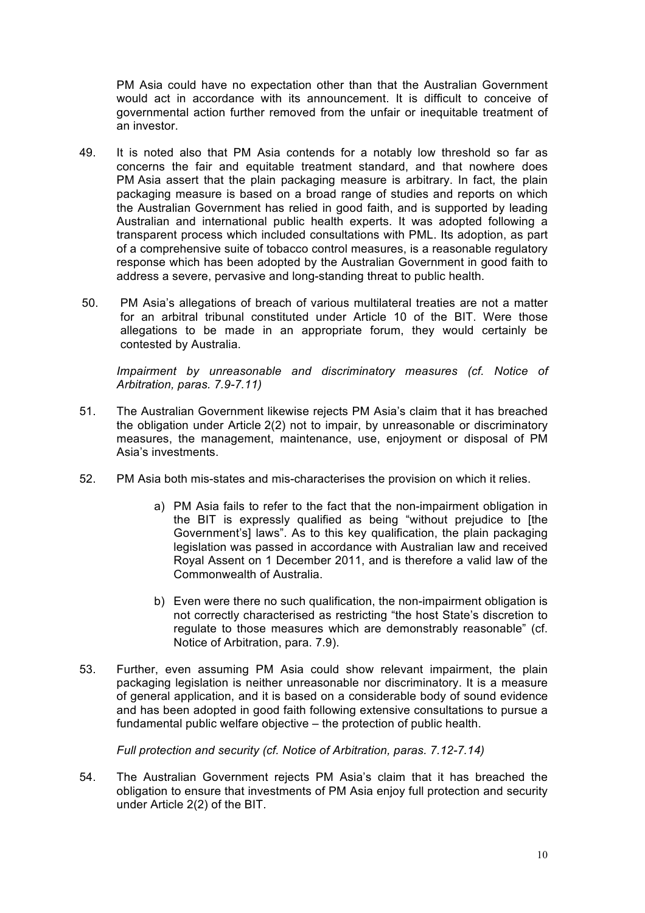PM Asia could have no expectation other than that the Australian Government would act in accordance with its announcement. It is difficult to conceive of governmental action further removed from the unfair or inequitable treatment of an investor.

- 49. It is noted also that PM Asia contends for a notably low threshold so far as concerns the fair and equitable treatment standard, and that nowhere does PM Asia assert that the plain packaging measure is arbitrary. In fact, the plain packaging measure is based on a broad range of studies and reports on which the Australian Government has relied in good faith, and is supported by leading Australian and international public health experts. It was adopted following a transparent process which included consultations with PML. Its adoption, as part of a comprehensive suite of tobacco control measures, is a reasonable regulatory response which has been adopted by the Australian Government in good faith to address a severe, pervasive and long-standing threat to public health.
- 50. PM Asia's allegations of breach of various multilateral treaties are not a matter for an arbitral tribunal constituted under Article 10 of the BIT. Were those allegations to be made in an appropriate forum, they would certainly be contested by Australia.

*Impairment by unreasonable and discriminatory measures (cf. Notice of Arbitration, paras. 7.9-7.11)*

- 51. The Australian Government likewise rejects PM Asia's claim that it has breached the obligation under Article 2(2) not to impair, by unreasonable or discriminatory measures, the management, maintenance, use, enjoyment or disposal of PM Asia's investments.
- 52. PM Asia both mis-states and mis-characterises the provision on which it relies.
	- a) PM Asia fails to refer to the fact that the non-impairment obligation in the BIT is expressly qualified as being "without prejudice to [the Government's] laws". As to this key qualification, the plain packaging legislation was passed in accordance with Australian law and received Royal Assent on 1 December 2011, and is therefore a valid law of the Commonwealth of Australia.
	- b) Even were there no such qualification, the non-impairment obligation is not correctly characterised as restricting "the host State's discretion to regulate to those measures which are demonstrably reasonable" (cf. Notice of Arbitration, para. 7.9).
- 53. Further, even assuming PM Asia could show relevant impairment, the plain packaging legislation is neither unreasonable nor discriminatory. It is a measure of general application, and it is based on a considerable body of sound evidence and has been adopted in good faith following extensive consultations to pursue a fundamental public welfare objective – the protection of public health.

*Full protection and security (cf. Notice of Arbitration, paras. 7.12-7.14)*

54. The Australian Government rejects PM Asia's claim that it has breached the obligation to ensure that investments of PM Asia enjoy full protection and security under Article 2(2) of the BIT.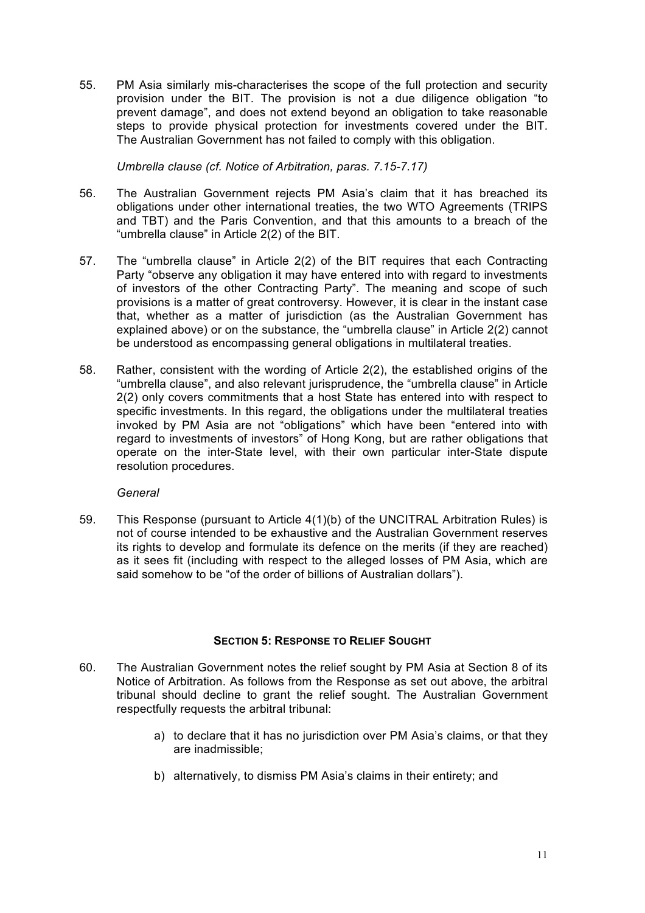55. PM Asia similarly mis-characterises the scope of the full protection and security provision under the BIT. The provision is not a due diligence obligation "to prevent damage", and does not extend beyond an obligation to take reasonable steps to provide physical protection for investments covered under the BIT. The Australian Government has not failed to comply with this obligation.

*Umbrella clause (cf. Notice of Arbitration, paras. 7.15-7.17)*

- 56. The Australian Government rejects PM Asia's claim that it has breached its obligations under other international treaties, the two WTO Agreements (TRIPS and TBT) and the Paris Convention, and that this amounts to a breach of the "umbrella clause" in Article 2(2) of the BIT.
- 57. The "umbrella clause" in Article 2(2) of the BIT requires that each Contracting Party "observe any obligation it may have entered into with regard to investments of investors of the other Contracting Party". The meaning and scope of such provisions is a matter of great controversy. However, it is clear in the instant case that, whether as a matter of jurisdiction (as the Australian Government has explained above) or on the substance, the "umbrella clause" in Article 2(2) cannot be understood as encompassing general obligations in multilateral treaties.
- 58. Rather, consistent with the wording of Article 2(2), the established origins of the "umbrella clause", and also relevant jurisprudence, the "umbrella clause" in Article 2(2) only covers commitments that a host State has entered into with respect to specific investments. In this regard, the obligations under the multilateral treaties invoked by PM Asia are not "obligations" which have been "entered into with regard to investments of investors" of Hong Kong, but are rather obligations that operate on the inter-State level, with their own particular inter-State dispute resolution procedures.

### *General*

59. This Response (pursuant to Article 4(1)(b) of the UNCITRAL Arbitration Rules) is not of course intended to be exhaustive and the Australian Government reserves its rights to develop and formulate its defence on the merits (if they are reached) as it sees fit (including with respect to the alleged losses of PM Asia, which are said somehow to be "of the order of billions of Australian dollars").

## **SECTION 5: RESPONSE TO RELIEF SOUGHT**

- 60. The Australian Government notes the relief sought by PM Asia at Section 8 of its Notice of Arbitration. As follows from the Response as set out above, the arbitral tribunal should decline to grant the relief sought. The Australian Government respectfully requests the arbitral tribunal:
	- a) to declare that it has no jurisdiction over PM Asia's claims, or that they are inadmissible;
	- b) alternatively, to dismiss PM Asia's claims in their entirety; and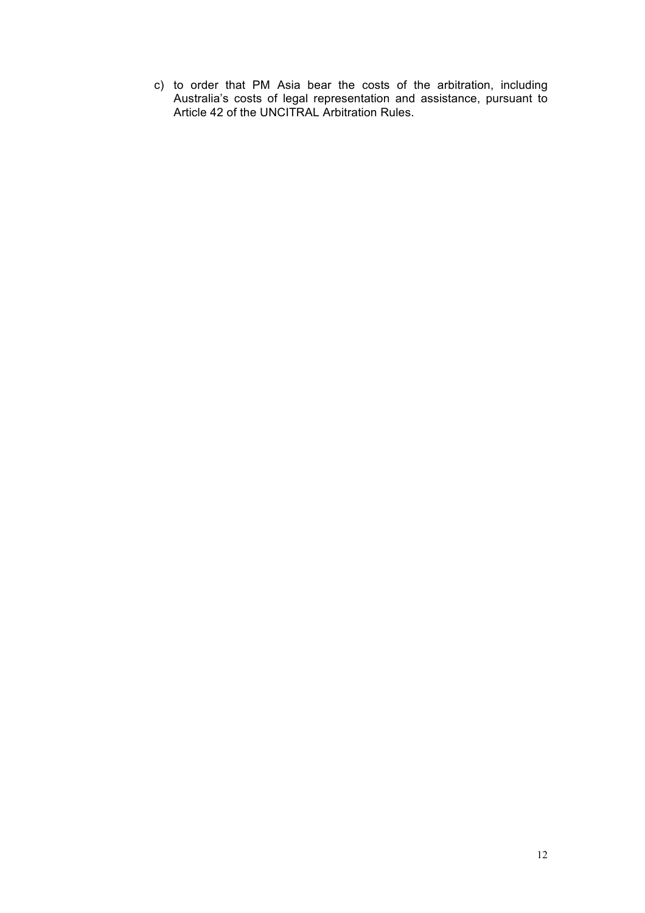c) to order that PM Asia bear the costs of the arbitration, including Australia's costs of legal representation and assistance, pursuant to Article 42 of the UNCITRAL Arbitration Rules.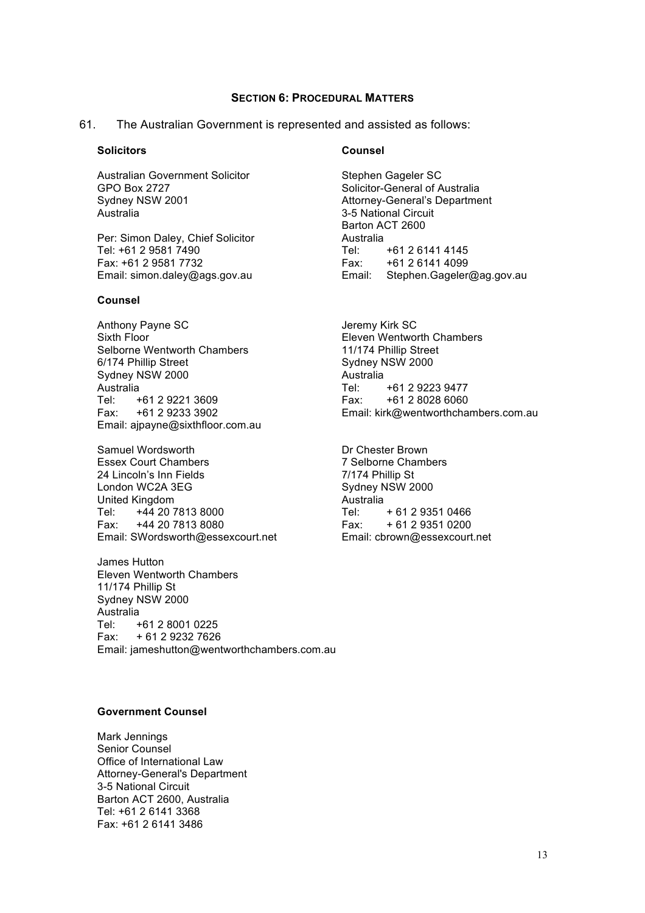#### **SECTION 6: PROCEDURAL MATTERS**

#### 61. The Australian Government is represented and assisted as follows:

#### **Solicitors**

Australian Government Solicitor GPO Box 2727 Sydney NSW 2001 Australia

Per: Simon Daley, Chief Solicitor Tel: +61 2 9581 7490 Fax: +61 2 9581 7732 Email: simon.daley@ags.gov.au

#### **Counsel**

Anthony Payne SC Sixth Floor Selborne Wentworth Chambers 6/174 Phillip Street Sydney NSW 2000 Australia Tel: +61 2 9221 3609 Fax: +61 2 9233 3902 Email: ajpayne@sixthfloor.com.au

Samuel Wordsworth Essex Court Chambers 24 Lincoln's Inn Fields London WC2A 3EG United Kingdom Tel: +44 20 7813 8000 Fax: +44 20 7813 8080 Email: SWordsworth@essexcourt.net

James Hutton Eleven Wentworth Chambers 11/174 Phillip St Sydney NSW 2000 Australia Tel: +61 2 8001 0225 Fax: + 61 2 9232 7626 Email: jameshutton@wentworthchambers.com.au

#### **Counsel**

Stephen Gageler SC Solicitor-General of Australia Attorney-General's Department 3-5 National Circuit Barton ACT 2600 Australia Tel: +61 2 6141 4145 Fax: +61 2 6141 4099 Email: Stephen.Gageler@ag.gov.au

Jeremy Kirk SC Eleven Wentworth Chambers 11/174 Phillip Street Sydney NSW 2000 Australia<br>Tel: Tel: +61 2 9223 9477 Fax: +61 2 8028 6060 Email: kirk@wentworthchambers.com.au

Dr Chester Brown 7 Selborne Chambers 7/174 Phillip St Sydney NSW 2000 Australia Tel: + 61 2 9351 0466 Fax: + 61 2 9351 0200 Email: cbrown@essexcourt.net

#### **Government Counsel**

Mark Jennings Senior Counsel Office of International Law Attorney-General's Department 3-5 National Circuit Barton ACT 2600, Australia Tel: +61 2 6141 3368 Fax: +61 2 6141 3486